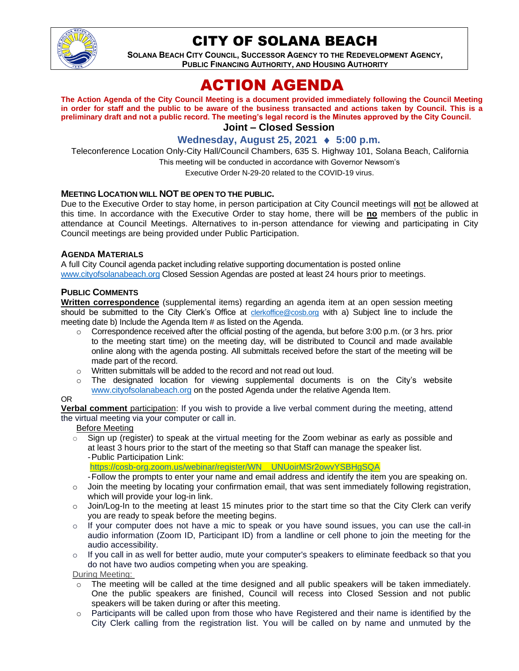

# CITY OF SOLANA BEACH

**SOLANA BEACH CITY COUNCIL, SUCCESSOR AGENCY TO THE REDEVELOPMENT AGENCY, PUBLIC FINANCING AUTHORITY, AND HOUSING AUTHORITY** 

# ACTION AGENDA

**The Action Agenda of the City Council Meeting is a document provided immediately following the Council Meeting in order for staff and the public to be aware of the business transacted and actions taken by Council. This is a preliminary draft and not a public record. The meeting's legal record is the Minutes approved by the City Council. Joint – Closed Session**

# **Wednesday, August 25, 2021 ♦ 5:00 p.m.**

Teleconference Location Only-City Hall/Council Chambers, 635 S. Highway 101, Solana Beach, California This meeting will be conducted in accordance with Governor Newsom's

Executive Order N-29-20 related to the COVID-19 virus.

## **MEETING LOCATION WILL NOT BE OPEN TO THE PUBLIC.**

Due to the Executive Order to stay home, in person participation at City Council meetings will **n**ot be allowed at this time. In accordance with the Executive Order to stay home, there will be **no** members of the public in attendance at Council Meetings. Alternatives to in-person attendance for viewing and participating in City Council meetings are being provided under Public Participation.

#### **AGENDA MATERIALS**

A full City Council agenda packet including relative supporting documentation is posted online [www.cityofsolanabeach.org](https://urldefense.proofpoint.com/v2/url?u=http-3A__www.cityofsolanabeach.org&d=DwQFAg&c=euGZstcaTDllvimEN8b7jXrwqOf-v5A_CdpgnVfiiMM&r=1XAsCUuqwK_tji2t0s1uIQ&m=wny2RVfZJ2tN24LkqZmkUWNpwL_peNtTZUBlTBZiMM4&s=6ATguqxJUOD7VVtloplAbyuyNaVcEh6Fl4q1iw55lCY&e=) Closed Session Agendas are posted at least 24 hours prior to meetings.

## **PUBLIC COMMENTS**

**Written correspondence** (supplemental items) regarding an agenda item at an open session meeting should be submitted to the City Clerk's Office at **[clerkoffice@cosb.org](mailto:clerkoffice@cosb.org)** with a) Subject line to include the meeting date b) Include the Agenda Item # as listed on the Agenda.

- $\circ$  Correspondence received after the official posting of the agenda, but before 3:00 p.m. (or 3 hrs. prior to the meeting start time) on the meeting day, will be distributed to Council and made available online along with the agenda posting. All submittals received before the start of the meeting will be made part of the record.
- o Written submittals will be added to the record and not read out loud.
- $\circ$  The designated location for viewing supplemental documents is on the City's website [www.cityofsolanabeach.org](http://www.cityofsolanabeach.org/) on the posted Agenda under the relative Agenda Item.

#### OR

**Verbal comment** participation: If you wish to provide a live verbal comment during the meeting, attend the virtual meeting via your computer or call in.

Before Meeting

 $\circ$  Sign up (register) to speak at the virtual meeting for the Zoom webinar as early as possible and at least 3 hours prior to the start of the meeting so that Staff can manage the speaker list. -Public Participation Link:

[https://cosb-org.zoom.us/webinar/register/WN\\_\\_UNUoirMSr2owvYSBHgSQA](https://cosb-org.zoom.us/webinar/register/WN__UNUoirMSr2owvYSBHgSQA)

- -Follow the prompts to enter your name and email address and identify the item you are speaking on.
- $\circ$  Join the meeting by locating your confirmation email, that was sent immediately following registration, which will provide your log-in link.
- $\circ$  Join/Log-In to the meeting at least 15 minutes prior to the start time so that the City Clerk can verify you are ready to speak before the meeting begins.
- $\circ$  If your computer does not have a mic to speak or you have sound issues, you can use the call-in audio information (Zoom ID, Participant ID) from a landline or cell phone to join the meeting for the audio accessibility.
- $\circ$  If you call in as well for better audio, mute your computer's speakers to eliminate feedback so that you do not have two audios competing when you are speaking.

During Meeting:

- $\circ$  The meeting will be called at the time designed and all public speakers will be taken immediately. One the public speakers are finished, Council will recess into Closed Session and not public speakers will be taken during or after this meeting.
- $\circ$  Participants will be called upon from those who have Registered and their name is identified by the City Clerk calling from the registration list. You will be called on by name and unmuted by the